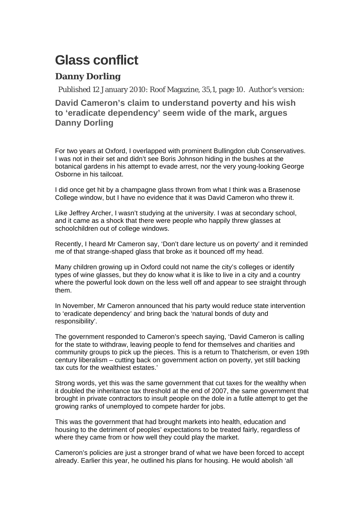## **Glass conflict**

## **Danny Dorling**

Published 12 January 2010: Roof Magazine, 35,1, page 10. Author's version:

## **David Cameron's claim to understand poverty and his wish to 'eradicate dependency' seem wide of the mark, argues Danny Dorling**

For two years at Oxford, I overlapped with prominent Bullingdon club Conservatives. I was not in their set and didn't see Boris Johnson hiding in the bushes at the botanical gardens in his attempt to evade arrest, nor the very young-looking George Osborne in his tailcoat.

I did once get hit by a champagne glass thrown from what I think was a Brasenose College window, but I have no evidence that it was David Cameron who threw it.

Like Jeffrey Archer, I wasn't studying at the university. I was at secondary school, and it came as a shock that there were people who happily threw glasses at schoolchildren out of college windows.

Recently, I heard Mr Cameron say, 'Don't dare lecture us on poverty' and it reminded me of that strange-shaped glass that broke as it bounced off my head.

Many children growing up in Oxford could not name the city's colleges or identify types of wine glasses, but they do know what it is like to live in a city and a country where the powerful look down on the less well off and appear to see straight through them.

In November, Mr Cameron announced that his party would reduce state intervention to 'eradicate dependency' and bring back the 'natural bonds of duty and responsibility'.

The government responded to Cameron's speech saying, 'David Cameron is calling for the state to withdraw, leaving people to fend for themselves and charities and community groups to pick up the pieces. This is a return to Thatcherism, or even 19th century liberalism – cutting back on government action on poverty, yet still backing tax cuts for the wealthiest estates.'

Strong words, yet this was the same government that cut taxes for the wealthy when it doubled the inheritance tax threshold at the end of 2007, the same government that brought in private contractors to insult people on the dole in a futile attempt to get the growing ranks of unemployed to compete harder for jobs.

This was the government that had brought markets into health, education and housing to the detriment of peoples' expectations to be treated fairly, regardless of where they came from or how well they could play the market.

Cameron's policies are just a stronger brand of what we have been forced to accept already. Earlier this year, he outlined his plans for housing. He would abolish 'all